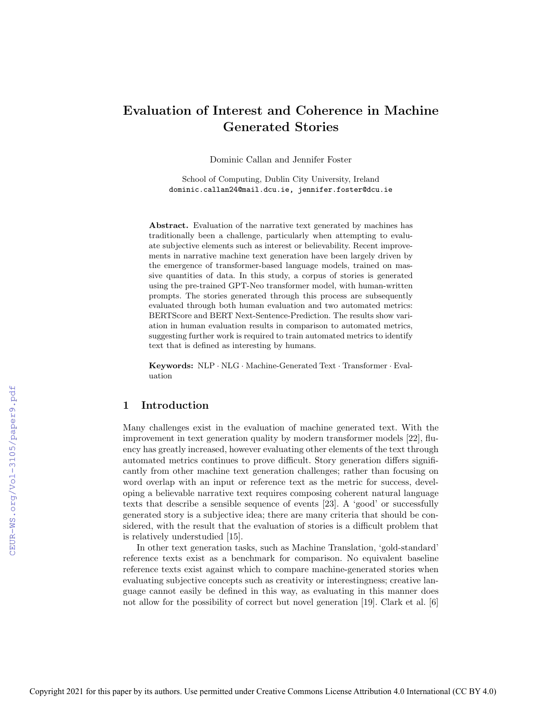# Evaluation of Interest and Coherence in Machine Generated Stories

Dominic Callan and Jennifer Foster

School of Computing, Dublin City University, Ireland dominic.callan24@mail.dcu.ie, jennifer.foster@dcu.ie

Abstract. Evaluation of the narrative text generated by machines has traditionally been a challenge, particularly when attempting to evaluate subjective elements such as interest or believability. Recent improvements in narrative machine text generation have been largely driven by the emergence of transformer-based language models, trained on massive quantities of data. In this study, a corpus of stories is generated using the pre-trained GPT-Neo transformer model, with human-written prompts. The stories generated through this process are subsequently evaluated through both human evaluation and two automated metrics: BERTScore and BERT Next-Sentence-Prediction. The results show variation in human evaluation results in comparison to automated metrics, suggesting further work is required to train automated metrics to identify text that is defined as interesting by humans.

Keywords: NLP · NLG · Machine-Generated Text · Transformer · Evaluation

# 1 Introduction

Many challenges exist in the evaluation of machine generated text. With the improvement in text generation quality by modern transformer models [22], fluency has greatly increased, however evaluating other elements of the text through automated metrics continues to prove difficult. Story generation differs significantly from other machine text generation challenges; rather than focusing on word overlap with an input or reference text as the metric for success, developing a believable narrative text requires composing coherent natural language texts that describe a sensible sequence of events [23]. A 'good' or successfully generated story is a subjective idea; there are many criteria that should be considered, with the result that the evaluation of stories is a difficult problem that is relatively understudied [15].

In other text generation tasks, such as Machine Translation, 'gold-standard' reference texts exist as a benchmark for comparison. No equivalent baseline reference texts exist against which to compare machine-generated stories when evaluating subjective concepts such as creativity or interestingness; creative language cannot easily be defined in this way, as evaluating in this manner does not allow for the possibility of correct but novel generation [19]. Clark et al. [6]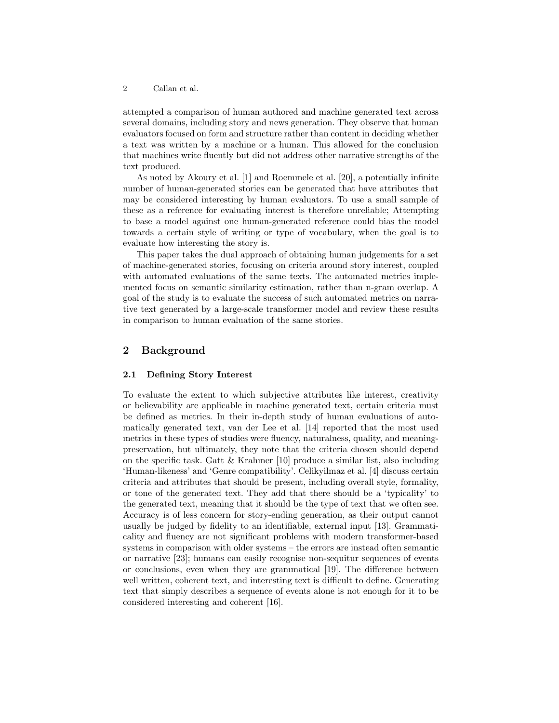attempted a comparison of human authored and machine generated text across several domains, including story and news generation. They observe that human evaluators focused on form and structure rather than content in deciding whether a text was written by a machine or a human. This allowed for the conclusion that machines write fluently but did not address other narrative strengths of the text produced.

As noted by Akoury et al. [1] and Roemmele et al. [20], a potentially infinite number of human-generated stories can be generated that have attributes that may be considered interesting by human evaluators. To use a small sample of these as a reference for evaluating interest is therefore unreliable; Attempting to base a model against one human-generated reference could bias the model towards a certain style of writing or type of vocabulary, when the goal is to evaluate how interesting the story is.

This paper takes the dual approach of obtaining human judgements for a set of machine-generated stories, focusing on criteria around story interest, coupled with automated evaluations of the same texts. The automated metrics implemented focus on semantic similarity estimation, rather than n-gram overlap. A goal of the study is to evaluate the success of such automated metrics on narrative text generated by a large-scale transformer model and review these results in comparison to human evaluation of the same stories.

# 2 Background

## 2.1 Defining Story Interest

To evaluate the extent to which subjective attributes like interest, creativity or believability are applicable in machine generated text, certain criteria must be defined as metrics. In their in-depth study of human evaluations of automatically generated text, van der Lee et al. [14] reported that the most used metrics in these types of studies were fluency, naturalness, quality, and meaningpreservation, but ultimately, they note that the criteria chosen should depend on the specific task. Gatt  $\&$  Krahmer [10] produce a similar list, also including 'Human-likeness' and 'Genre compatibility'. Celikyilmaz et al. [4] discuss certain criteria and attributes that should be present, including overall style, formality, or tone of the generated text. They add that there should be a 'typicality' to the generated text, meaning that it should be the type of text that we often see. Accuracy is of less concern for story-ending generation, as their output cannot usually be judged by fidelity to an identifiable, external input [13]. Grammaticality and fluency are not significant problems with modern transformer-based systems in comparison with older systems – the errors are instead often semantic or narrative [23]; humans can easily recognise non-sequitur sequences of events or conclusions, even when they are grammatical [19]. The difference between well written, coherent text, and interesting text is difficult to define. Generating text that simply describes a sequence of events alone is not enough for it to be considered interesting and coherent [16].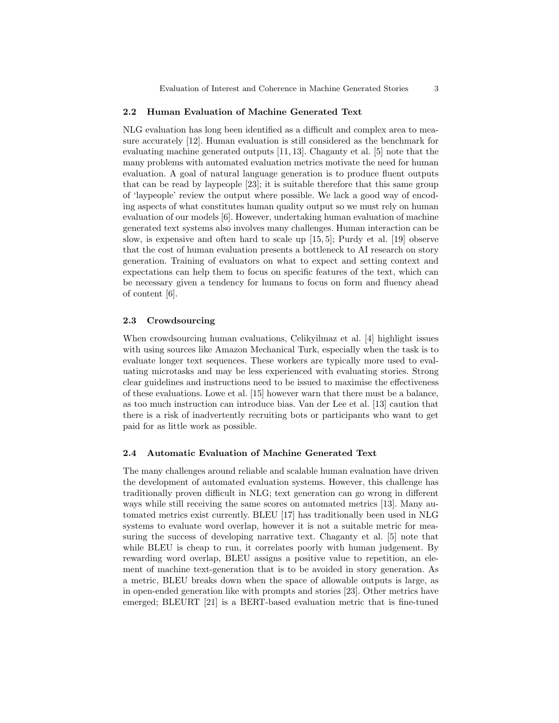## 2.2 Human Evaluation of Machine Generated Text

NLG evaluation has long been identified as a difficult and complex area to measure accurately [12]. Human evaluation is still considered as the benchmark for evaluating machine generated outputs [11, 13]. Chaganty et al. [5] note that the many problems with automated evaluation metrics motivate the need for human evaluation. A goal of natural language generation is to produce fluent outputs that can be read by laypeople [23]; it is suitable therefore that this same group of 'laypeople' review the output where possible. We lack a good way of encoding aspects of what constitutes human quality output so we must rely on human evaluation of our models [6]. However, undertaking human evaluation of machine generated text systems also involves many challenges. Human interaction can be slow, is expensive and often hard to scale up [15, 5]; Purdy et al. [19] observe that the cost of human evaluation presents a bottleneck to AI research on story generation. Training of evaluators on what to expect and setting context and expectations can help them to focus on specific features of the text, which can be necessary given a tendency for humans to focus on form and fluency ahead of content [6].

## 2.3 Crowdsourcing

When crowdsourcing human evaluations, Celikyilmaz et al. [4] highlight issues with using sources like Amazon Mechanical Turk, especially when the task is to evaluate longer text sequences. These workers are typically more used to evaluating microtasks and may be less experienced with evaluating stories. Strong clear guidelines and instructions need to be issued to maximise the effectiveness of these evaluations. Lowe et al. [15] however warn that there must be a balance, as too much instruction can introduce bias. Van der Lee et al. [13] caution that there is a risk of inadvertently recruiting bots or participants who want to get paid for as little work as possible.

## 2.4 Automatic Evaluation of Machine Generated Text

The many challenges around reliable and scalable human evaluation have driven the development of automated evaluation systems. However, this challenge has traditionally proven difficult in NLG; text generation can go wrong in different ways while still receiving the same scores on automated metrics [13]. Many automated metrics exist currently. BLEU [17] has traditionally been used in NLG systems to evaluate word overlap, however it is not a suitable metric for measuring the success of developing narrative text. Chaganty et al. [5] note that while BLEU is cheap to run, it correlates poorly with human judgement. By rewarding word overlap, BLEU assigns a positive value to repetition, an element of machine text-generation that is to be avoided in story generation. As a metric, BLEU breaks down when the space of allowable outputs is large, as in open-ended generation like with prompts and stories [23]. Other metrics have emerged; BLEURT [21] is a BERT-based evaluation metric that is fine-tuned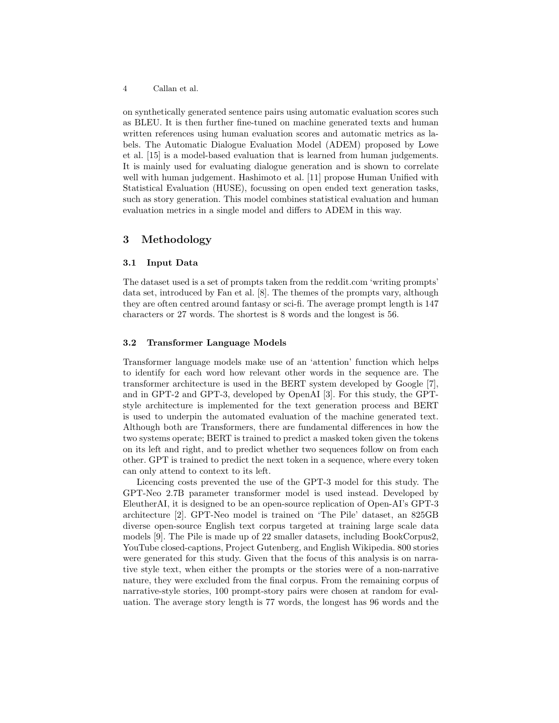on synthetically generated sentence pairs using automatic evaluation scores such as BLEU. It is then further fine-tuned on machine generated texts and human written references using human evaluation scores and automatic metrics as labels. The Automatic Dialogue Evaluation Model (ADEM) proposed by Lowe et al. [15] is a model-based evaluation that is learned from human judgements. It is mainly used for evaluating dialogue generation and is shown to correlate well with human judgement. Hashimoto et al. [11] propose Human Unified with Statistical Evaluation (HUSE), focussing on open ended text generation tasks, such as story generation. This model combines statistical evaluation and human evaluation metrics in a single model and differs to ADEM in this way.

## 3 Methodology

## 3.1 Input Data

The dataset used is a set of prompts taken from the reddit.com 'writing prompts' data set, introduced by Fan et al. [8]. The themes of the prompts vary, although they are often centred around fantasy or sci-fi. The average prompt length is 147 characters or 27 words. The shortest is 8 words and the longest is 56.

## 3.2 Transformer Language Models

Transformer language models make use of an 'attention' function which helps to identify for each word how relevant other words in the sequence are. The transformer architecture is used in the BERT system developed by Google [7], and in GPT-2 and GPT-3, developed by OpenAI [3]. For this study, the GPTstyle architecture is implemented for the text generation process and BERT is used to underpin the automated evaluation of the machine generated text. Although both are Transformers, there are fundamental differences in how the two systems operate; BERT is trained to predict a masked token given the tokens on its left and right, and to predict whether two sequences follow on from each other. GPT is trained to predict the next token in a sequence, where every token can only attend to context to its left.

Licencing costs prevented the use of the GPT-3 model for this study. The GPT-Neo 2.7B parameter transformer model is used instead. Developed by EleutherAI, it is designed to be an open-source replication of Open-AI's GPT-3 architecture [2]. GPT-Neo model is trained on 'The Pile' dataset, an 825GB diverse open-source English text corpus targeted at training large scale data models [9]. The Pile is made up of 22 smaller datasets, including BookCorpus2, YouTube closed-captions, Project Gutenberg, and English Wikipedia. 800 stories were generated for this study. Given that the focus of this analysis is on narrative style text, when either the prompts or the stories were of a non-narrative nature, they were excluded from the final corpus. From the remaining corpus of narrative-style stories, 100 prompt-story pairs were chosen at random for evaluation. The average story length is 77 words, the longest has 96 words and the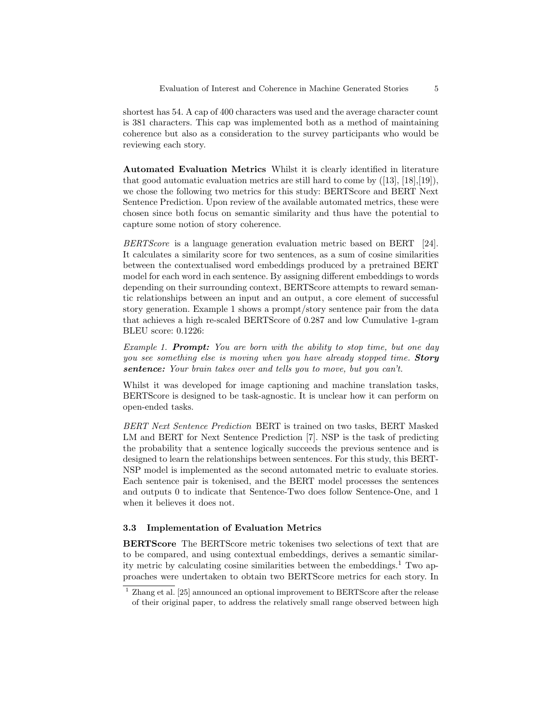shortest has 54. A cap of 400 characters was used and the average character count is 381 characters. This cap was implemented both as a method of maintaining coherence but also as a consideration to the survey participants who would be reviewing each story.

Automated Evaluation Metrics Whilst it is clearly identified in literature that good automatic evaluation metrics are still hard to come by  $([13], [18], [19])$ , we chose the following two metrics for this study: BERTScore and BERT Next Sentence Prediction. Upon review of the available automated metrics, these were chosen since both focus on semantic similarity and thus have the potential to capture some notion of story coherence.

BERTScore is a language generation evaluation metric based on BERT [24]. It calculates a similarity score for two sentences, as a sum of cosine similarities between the contextualised word embeddings produced by a pretrained BERT model for each word in each sentence. By assigning different embeddings to words depending on their surrounding context, BERTScore attempts to reward semantic relationships between an input and an output, a core element of successful story generation. Example 1 shows a prompt/story sentence pair from the data that achieves a high re-scaled BERTScore of 0.287 and low Cumulative 1-gram BLEU score: 0.1226:

Example 1. Prompt: You are born with the ability to stop time, but one day you see something else is moving when you have already stopped time. **Story** sentence: Your brain takes over and tells you to move, but you can't.

Whilst it was developed for image captioning and machine translation tasks, BERTScore is designed to be task-agnostic. It is unclear how it can perform on open-ended tasks.

BERT Next Sentence Prediction BERT is trained on two tasks, BERT Masked LM and BERT for Next Sentence Prediction [7]. NSP is the task of predicting the probability that a sentence logically succeeds the previous sentence and is designed to learn the relationships between sentences. For this study, this BERT-NSP model is implemented as the second automated metric to evaluate stories. Each sentence pair is tokenised, and the BERT model processes the sentences and outputs 0 to indicate that Sentence-Two does follow Sentence-One, and 1 when it believes it does not.

## 3.3 Implementation of Evaluation Metrics

BERTScore The BERTScore metric tokenises two selections of text that are to be compared, and using contextual embeddings, derives a semantic similarity metric by calculating cosine similarities between the embeddings.<sup>1</sup> Two approaches were undertaken to obtain two BERTScore metrics for each story. In

<sup>&</sup>lt;sup>1</sup> Zhang et al. [25] announced an optional improvement to BERTScore after the release of their original paper, to address the relatively small range observed between high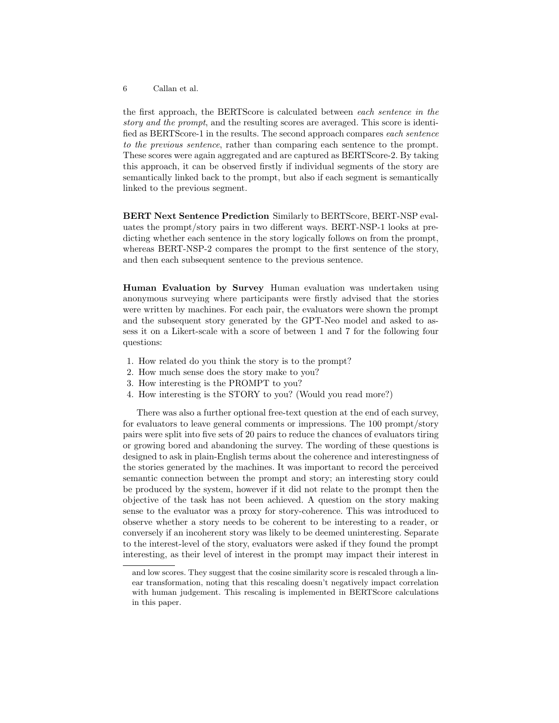the first approach, the BERTScore is calculated between each sentence in the story and the prompt, and the resulting scores are averaged. This score is identified as BERTScore-1 in the results. The second approach compares each sentence to the previous sentence, rather than comparing each sentence to the prompt. These scores were again aggregated and are captured as BERTScore-2. By taking this approach, it can be observed firstly if individual segments of the story are semantically linked back to the prompt, but also if each segment is semantically linked to the previous segment.

BERT Next Sentence Prediction Similarly to BERTScore, BERT-NSP evaluates the prompt/story pairs in two different ways. BERT-NSP-1 looks at predicting whether each sentence in the story logically follows on from the prompt, whereas BERT-NSP-2 compares the prompt to the first sentence of the story, and then each subsequent sentence to the previous sentence.

Human Evaluation by Survey Human evaluation was undertaken using anonymous surveying where participants were firstly advised that the stories were written by machines. For each pair, the evaluators were shown the prompt and the subsequent story generated by the GPT-Neo model and asked to assess it on a Likert-scale with a score of between 1 and 7 for the following four questions:

- 1. How related do you think the story is to the prompt?
- 2. How much sense does the story make to you?
- 3. How interesting is the PROMPT to you?
- 4. How interesting is the STORY to you? (Would you read more?)

There was also a further optional free-text question at the end of each survey, for evaluators to leave general comments or impressions. The 100 prompt/story pairs were split into five sets of 20 pairs to reduce the chances of evaluators tiring or growing bored and abandoning the survey. The wording of these questions is designed to ask in plain-English terms about the coherence and interestingness of the stories generated by the machines. It was important to record the perceived semantic connection between the prompt and story; an interesting story could be produced by the system, however if it did not relate to the prompt then the objective of the task has not been achieved. A question on the story making sense to the evaluator was a proxy for story-coherence. This was introduced to observe whether a story needs to be coherent to be interesting to a reader, or conversely if an incoherent story was likely to be deemed uninteresting. Separate to the interest-level of the story, evaluators were asked if they found the prompt interesting, as their level of interest in the prompt may impact their interest in

and low scores. They suggest that the cosine similarity score is rescaled through a linear transformation, noting that this rescaling doesn't negatively impact correlation with human judgement. This rescaling is implemented in BERTScore calculations in this paper.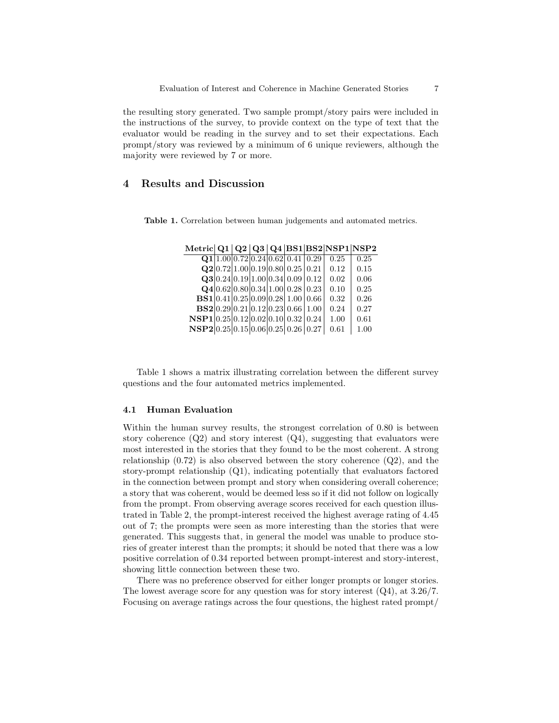the resulting story generated. Two sample prompt/story pairs were included in the instructions of the survey, to provide context on the type of text that the evaluator would be reading in the survey and to set their expectations. Each prompt/story was reviewed by a minimum of 6 unique reviewers, although the majority were reviewed by 7 or more.

# 4 Results and Discussion

Table 1. Correlation between human judgements and automated metrics.

|                                               |  |  | Q1 1.00 0.72 0.24 0.62 0.41 0.29                                               | 0.25 | 0.25 |
|-----------------------------------------------|--|--|--------------------------------------------------------------------------------|------|------|
|                                               |  |  | Q2 0.72 1.00 0.19 0.80 0.25 0.21                                               | 0.12 | 0.15 |
|                                               |  |  | Q3 0.24 0.19 1.00 0.34 0.09 0.12                                               | 0.02 | 0.06 |
|                                               |  |  | $\mathbf{Q4} 0.62 0.80 0.34 1.00 0.28 0.23$                                    | 0.10 | 0.25 |
|                                               |  |  | <b>BS1</b> $\vert 0.41 \vert 0.25 \vert 0.09 \vert 0.28 \vert 1.00 \vert 0.66$ | 0.32 | 0.26 |
|                                               |  |  | BS2 0.29 0.21 0.12 0.23 0.66 1.00                                              | 0.24 | 0.27 |
| $\bf{NSP1} 0.25 0.12 0.02 0.10 0.32 0.24 $    |  |  |                                                                                | 1.00 | 0.61 |
| $\textbf{NSP2} 0.25 0.15 0.06 0.25 0.26 0.27$ |  |  |                                                                                | 0.61 | 1.00 |
|                                               |  |  |                                                                                |      |      |

Metric  $Q1 | Q2 | Q3 | Q4 | B51 | B52 | NSP1 | NSP2$ 

Table 1 shows a matrix illustrating correlation between the different survey questions and the four automated metrics implemented.

## 4.1 Human Evaluation

Within the human survey results, the strongest correlation of 0.80 is between story coherence  $(Q2)$  and story interest  $(Q4)$ , suggesting that evaluators were most interested in the stories that they found to be the most coherent. A strong relationship  $(0.72)$  is also observed between the story coherence  $(Q2)$ , and the story-prompt relationship (Q1), indicating potentially that evaluators factored in the connection between prompt and story when considering overall coherence; a story that was coherent, would be deemed less so if it did not follow on logically from the prompt. From observing average scores received for each question illustrated in Table 2, the prompt-interest received the highest average rating of 4.45 out of 7; the prompts were seen as more interesting than the stories that were generated. This suggests that, in general the model was unable to produce stories of greater interest than the prompts; it should be noted that there was a low positive correlation of 0.34 reported between prompt-interest and story-interest, showing little connection between these two.

There was no preference observed for either longer prompts or longer stories. The lowest average score for any question was for story interest (Q4), at 3.26/7. Focusing on average ratings across the four questions, the highest rated prompt/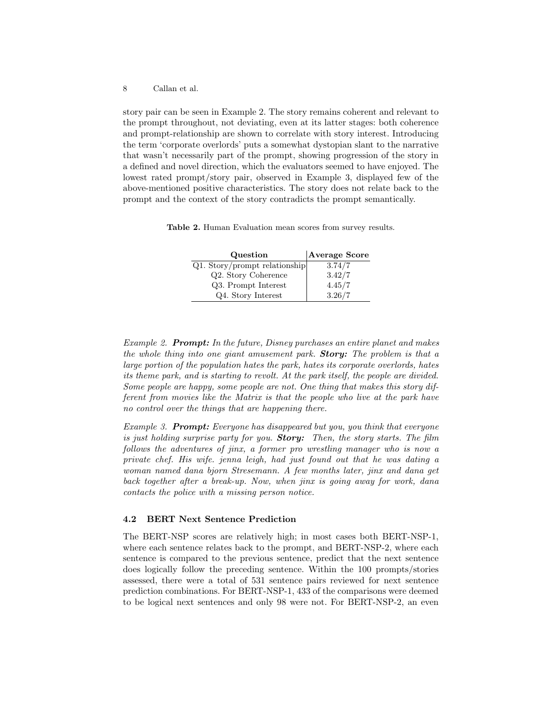story pair can be seen in Example 2. The story remains coherent and relevant to the prompt throughout, not deviating, even at its latter stages: both coherence and prompt-relationship are shown to correlate with story interest. Introducing the term 'corporate overlords' puts a somewhat dystopian slant to the narrative that wasn't necessarily part of the prompt, showing progression of the story in a defined and novel direction, which the evaluators seemed to have enjoyed. The lowest rated prompt/story pair, observed in Example 3, displayed few of the above-mentioned positive characteristics. The story does not relate back to the prompt and the context of the story contradicts the prompt semantically.

Table 2. Human Evaluation mean scores from survey results.

| Question                        | Average Score |
|---------------------------------|---------------|
| $Q1.$ Story/prompt relationship | 3.74/7        |
| Q2. Story Coherence             | 3.42/7        |
| Q3. Prompt Interest             | 4.45/7        |
| Q4. Story Interest              | 3.26/7        |

Example 2. Prompt: In the future, Disney purchases an entire planet and makes the whole thing into one giant amusement park. **Story:** The problem is that a large portion of the population hates the park, hates its corporate overlords, hates its theme park, and is starting to revolt. At the park itself, the people are divided. Some people are happy, some people are not. One thing that makes this story different from movies like the Matrix is that the people who live at the park have no control over the things that are happening there.

Example 3. **Prompt:** Everyone has disappeared but you, you think that everyone is just holding surprise party for you. **Story:** Then, the story starts. The film follows the adventures of jinx, a former pro wrestling manager who is now a private chef. His wife. jenna leigh, had just found out that he was dating a woman named dana bjorn Stresemann. A few months later, jinx and dana get back together after a break-up. Now, when jinx is going away for work, dana contacts the police with a missing person notice.

## 4.2 BERT Next Sentence Prediction

The BERT-NSP scores are relatively high; in most cases both BERT-NSP-1, where each sentence relates back to the prompt, and BERT-NSP-2, where each sentence is compared to the previous sentence, predict that the next sentence does logically follow the preceding sentence. Within the 100 prompts/stories assessed, there were a total of 531 sentence pairs reviewed for next sentence prediction combinations. For BERT-NSP-1, 433 of the comparisons were deemed to be logical next sentences and only 98 were not. For BERT-NSP-2, an even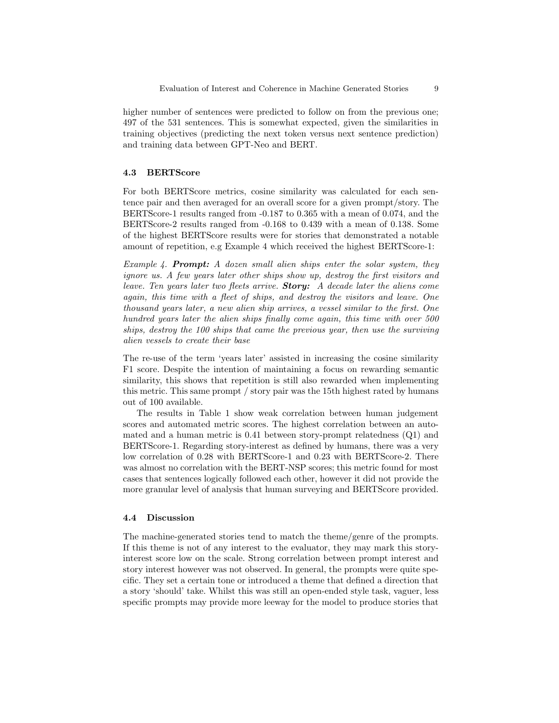higher number of sentences were predicted to follow on from the previous one; 497 of the 531 sentences. This is somewhat expected, given the similarities in training objectives (predicting the next token versus next sentence prediction) and training data between GPT-Neo and BERT.

#### 4.3 BERTScore

For both BERTScore metrics, cosine similarity was calculated for each sentence pair and then averaged for an overall score for a given prompt/story. The BERTScore-1 results ranged from -0.187 to 0.365 with a mean of 0.074, and the BERTScore-2 results ranged from -0.168 to 0.439 with a mean of 0.138. Some of the highest BERTScore results were for stories that demonstrated a notable amount of repetition, e.g Example 4 which received the highest BERTScore-1:

Example 4. **Prompt:** A dozen small alien ships enter the solar system, they ignore us. A few years later other ships show up, destroy the first visitors and leave. Ten years later two fleets arrive. **Story:** A decade later the aliens come again, this time with a fleet of ships, and destroy the visitors and leave. One thousand years later, a new alien ship arrives, a vessel similar to the first. One hundred years later the alien ships finally come again, this time with over 500 ships, destroy the 100 ships that came the previous year, then use the surviving alien vessels to create their base

The re-use of the term 'years later' assisted in increasing the cosine similarity F1 score. Despite the intention of maintaining a focus on rewarding semantic similarity, this shows that repetition is still also rewarded when implementing this metric. This same prompt / story pair was the 15th highest rated by humans out of 100 available.

The results in Table 1 show weak correlation between human judgement scores and automated metric scores. The highest correlation between an automated and a human metric is 0.41 between story-prompt relatedness (Q1) and BERTScore-1. Regarding story-interest as defined by humans, there was a very low correlation of 0.28 with BERTScore-1 and 0.23 with BERTScore-2. There was almost no correlation with the BERT-NSP scores; this metric found for most cases that sentences logically followed each other, however it did not provide the more granular level of analysis that human surveying and BERTScore provided.

## 4.4 Discussion

The machine-generated stories tend to match the theme/genre of the prompts. If this theme is not of any interest to the evaluator, they may mark this storyinterest score low on the scale. Strong correlation between prompt interest and story interest however was not observed. In general, the prompts were quite specific. They set a certain tone or introduced a theme that defined a direction that a story 'should' take. Whilst this was still an open-ended style task, vaguer, less specific prompts may provide more leeway for the model to produce stories that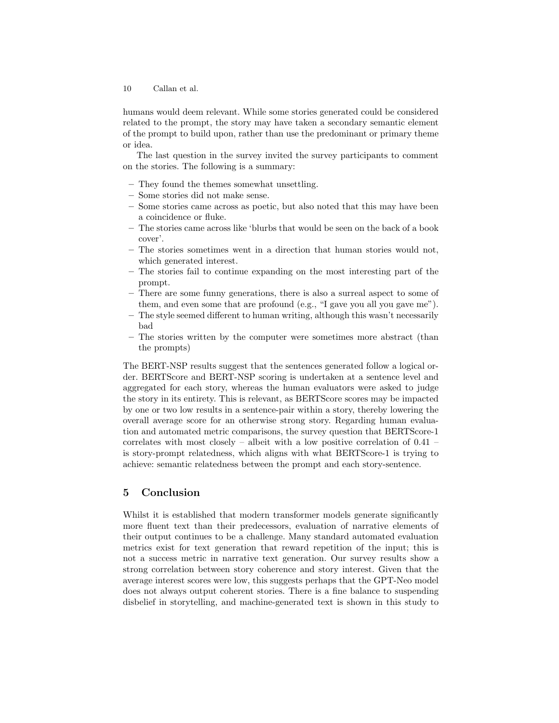humans would deem relevant. While some stories generated could be considered related to the prompt, the story may have taken a secondary semantic element of the prompt to build upon, rather than use the predominant or primary theme or idea.

The last question in the survey invited the survey participants to comment on the stories. The following is a summary:

- They found the themes somewhat unsettling.
- Some stories did not make sense.
- Some stories came across as poetic, but also noted that this may have been a coincidence or fluke.
- The stories came across like 'blurbs that would be seen on the back of a book cover'.
- The stories sometimes went in a direction that human stories would not, which generated interest.
- The stories fail to continue expanding on the most interesting part of the prompt.
- There are some funny generations, there is also a surreal aspect to some of them, and even some that are profound (e.g., "I gave you all you gave me").
- The style seemed different to human writing, although this wasn't necessarily bad
- The stories written by the computer were sometimes more abstract (than the prompts)

The BERT-NSP results suggest that the sentences generated follow a logical order. BERTScore and BERT-NSP scoring is undertaken at a sentence level and aggregated for each story, whereas the human evaluators were asked to judge the story in its entirety. This is relevant, as BERTScore scores may be impacted by one or two low results in a sentence-pair within a story, thereby lowering the overall average score for an otherwise strong story. Regarding human evaluation and automated metric comparisons, the survey question that BERTScore-1 correlates with most closely – albeit with a low positive correlation of 0.41 – is story-prompt relatedness, which aligns with what BERTScore-1 is trying to achieve: semantic relatedness between the prompt and each story-sentence.

# 5 Conclusion

Whilst it is established that modern transformer models generate significantly more fluent text than their predecessors, evaluation of narrative elements of their output continues to be a challenge. Many standard automated evaluation metrics exist for text generation that reward repetition of the input; this is not a success metric in narrative text generation. Our survey results show a strong correlation between story coherence and story interest. Given that the average interest scores were low, this suggests perhaps that the GPT-Neo model does not always output coherent stories. There is a fine balance to suspending disbelief in storytelling, and machine-generated text is shown in this study to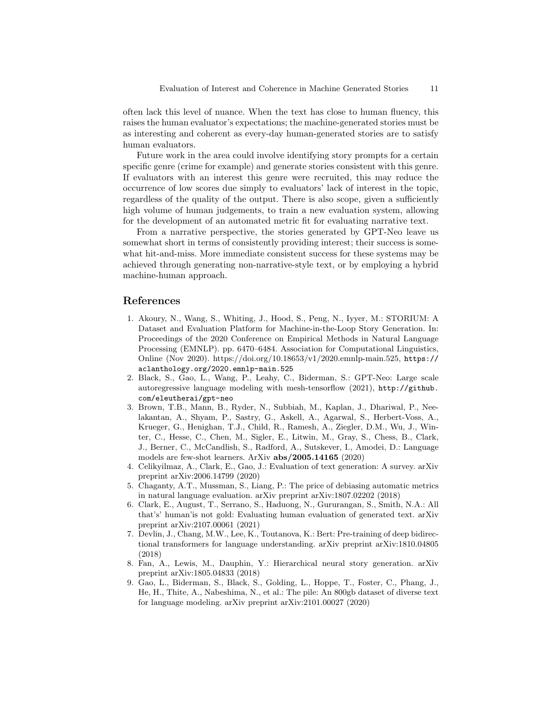often lack this level of nuance. When the text has close to human fluency, this raises the human evaluator's expectations; the machine-generated stories must be as interesting and coherent as every-day human-generated stories are to satisfy human evaluators.

Future work in the area could involve identifying story prompts for a certain specific genre (crime for example) and generate stories consistent with this genre. If evaluators with an interest this genre were recruited, this may reduce the occurrence of low scores due simply to evaluators' lack of interest in the topic, regardless of the quality of the output. There is also scope, given a sufficiently high volume of human judgements, to train a new evaluation system, allowing for the development of an automated metric fit for evaluating narrative text.

From a narrative perspective, the stories generated by GPT-Neo leave us somewhat short in terms of consistently providing interest; their success is somewhat hit-and-miss. More immediate consistent success for these systems may be achieved through generating non-narrative-style text, or by employing a hybrid machine-human approach.

# References

- 1. Akoury, N., Wang, S., Whiting, J., Hood, S., Peng, N., Iyyer, M.: STORIUM: A Dataset and Evaluation Platform for Machine-in-the-Loop Story Generation. In: Proceedings of the 2020 Conference on Empirical Methods in Natural Language Processing (EMNLP). pp. 6470–6484. Association for Computational Linguistics, Online (Nov 2020). https://doi.org/10.18653/v1/2020.emnlp-main.525, https:// aclanthology.org/2020.emnlp-main.525
- 2. Black, S., Gao, L., Wang, P., Leahy, C., Biderman, S.: GPT-Neo: Large scale autoregressive language modeling with mesh-tensorflow (2021), http://github. com/eleutherai/gpt-neo
- 3. Brown, T.B., Mann, B., Ryder, N., Subbiah, M., Kaplan, J., Dhariwal, P., Neelakantan, A., Shyam, P., Sastry, G., Askell, A., Agarwal, S., Herbert-Voss, A., Krueger, G., Henighan, T.J., Child, R., Ramesh, A., Ziegler, D.M., Wu, J., Winter, C., Hesse, C., Chen, M., Sigler, E., Litwin, M., Gray, S., Chess, B., Clark, J., Berner, C., McCandlish, S., Radford, A., Sutskever, I., Amodei, D.: Language models are few-shot learners. ArXiv abs/2005.14165 (2020)
- 4. Celikyilmaz, A., Clark, E., Gao, J.: Evaluation of text generation: A survey. arXiv preprint arXiv:2006.14799 (2020)
- 5. Chaganty, A.T., Mussman, S., Liang, P.: The price of debiasing automatic metrics in natural language evaluation. arXiv preprint arXiv:1807.02202 (2018)
- 6. Clark, E., August, T., Serrano, S., Haduong, N., Gururangan, S., Smith, N.A.: All that's' human'is not gold: Evaluating human evaluation of generated text. arXiv preprint arXiv:2107.00061 (2021)
- 7. Devlin, J., Chang, M.W., Lee, K., Toutanova, K.: Bert: Pre-training of deep bidirectional transformers for language understanding. arXiv preprint arXiv:1810.04805 (2018)
- 8. Fan, A., Lewis, M., Dauphin, Y.: Hierarchical neural story generation. arXiv preprint arXiv:1805.04833 (2018)
- 9. Gao, L., Biderman, S., Black, S., Golding, L., Hoppe, T., Foster, C., Phang, J., He, H., Thite, A., Nabeshima, N., et al.: The pile: An 800gb dataset of diverse text for language modeling. arXiv preprint arXiv:2101.00027 (2020)